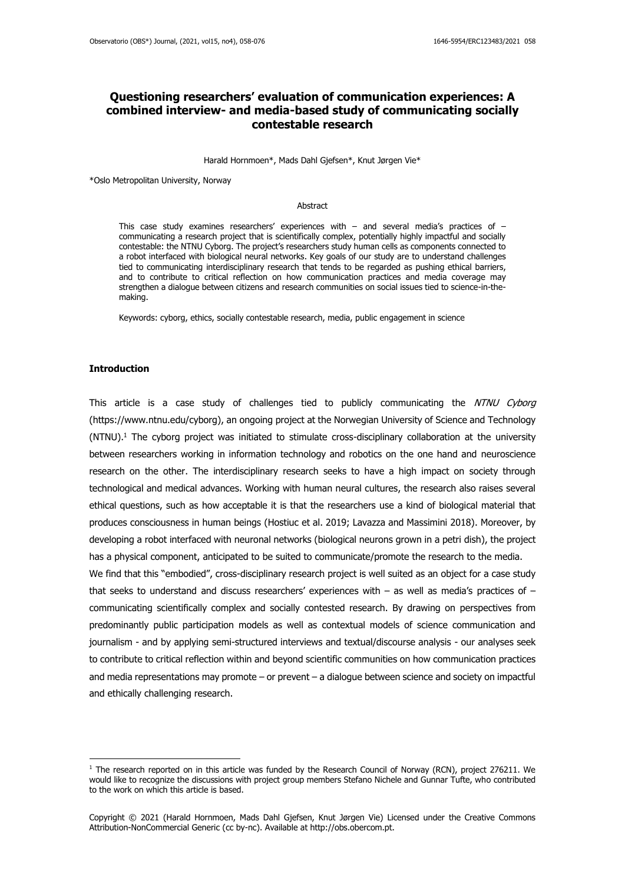# **Questioning researchers' evaluation of communication experiences: A combined interview- and media-based study of communicating socially contestable research**

Harald Hornmoen\*, Mads Dahl Gjefsen\*, Knut Jørgen Vie\*

\*Oslo Metropolitan University, Norway

#### Abstract

This case study examines researchers' experiences with  $-$  and several media's practices of  $$ communicating a research project that is scientifically complex, potentially highly impactful and socially contestable: the NTNU Cyborg. The project's researchers study human cells as components connected to a robot interfaced with biological neural networks. Key goals of our study are to understand challenges tied to communicating interdisciplinary research that tends to be regarded as pushing ethical barriers, and to contribute to critical reflection on how communication practices and media coverage may strengthen a dialogue between citizens and research communities on social issues tied to science-in-themaking.

Keywords: cyborg, ethics, socially contestable research, media, public engagement in science

#### **Introduction**

This article is a case study of challenges tied to publicly communicating the NTNU Cyborg [\(https://www.ntnu.edu/cyborg\)](https://www.ntnu.edu/cyborg), an ongoing project at the Norwegian University of Science and Technology  $(NTNU)$ .<sup>1</sup> The cyborg project was initiated to stimulate cross-disciplinary collaboration at the university between researchers working in information technology and robotics on the one hand and neuroscience research on the other. The interdisciplinary research seeks to have a high impact on society through technological and medical advances. Working with human neural cultures, the research also raises several ethical questions, such as how acceptable it is that the researchers use a kind of biological material that produces consciousness in human beings (Hostiuc et al. 2019; Lavazza and Massimini 2018). Moreover, by developing a robot interfaced with neuronal networks (biological neurons grown in a petri dish), the project has a physical component, anticipated to be suited to communicate/promote the research to the media.

We find that this "embodied", cross-disciplinary research project is well suited as an object for a case study that seeks to understand and discuss researchers' experiences with  $-$  as well as media's practices of  $$ communicating scientifically complex and socially contested research. By drawing on perspectives from predominantly public participation models as well as contextual models of science communication and journalism - and by applying semi-structured interviews and textual/discourse analysis - our analyses seek to contribute to critical reflection within and beyond scientific communities on how communication practices and media representations may promote – or prevent – a dialogue between science and society on impactful and ethically challenging research.

 $1$  The research reported on in this article was funded by the Research Council of Norway (RCN), project 276211. We would like to recognize the discussions with project group members Stefano Nichele and Gunnar Tufte, who contributed to the work on which this article is based.

Copyright © 2021 (Harald Hornmoen, Mads Dahl Gjefsen, Knut Jørgen Vie) Licensed under the Creative Commons Attribution-NonCommercial Generic (cc by-nc). Available at http://obs.obercom.pt.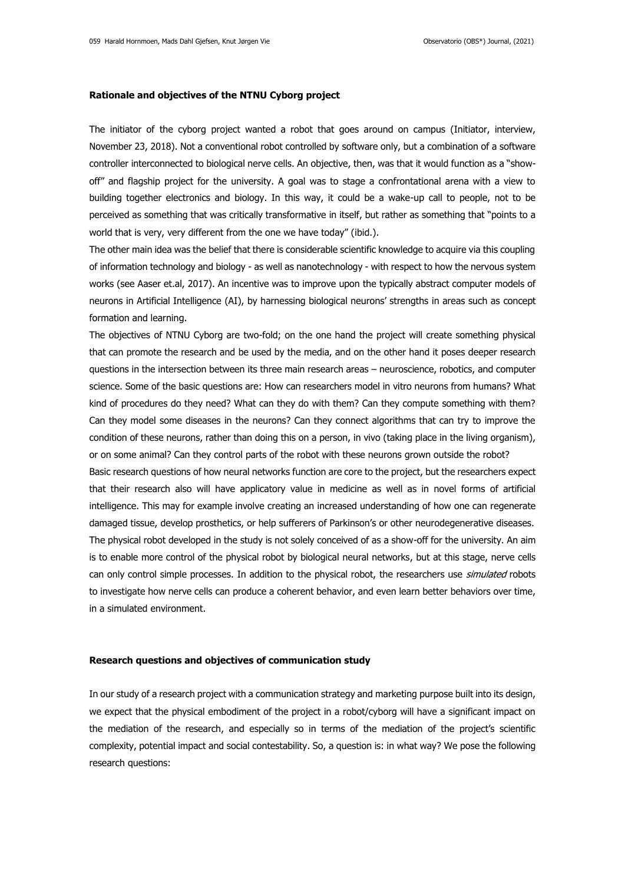#### **Rationale and objectives of the NTNU Cyborg project**

The initiator of the cyborg project wanted a robot that goes around on campus (Initiator, interview, November 23, 2018). Not a conventional robot controlled by software only, but a combination of a software controller interconnected to biological nerve cells. An objective, then, was that it would function as a "showoff" and flagship project for the university. A goal was to stage a confrontational arena with a view to building together electronics and biology. In this way, it could be a wake-up call to people, not to be perceived as something that was critically transformative in itself, but rather as something that "points to a world that is very, very different from the one we have today" (ibid.).

The other main idea was the belief that there is considerable scientific knowledge to acquire via this coupling of information technology and biology - as well as nanotechnology - with respect to how the nervous system works (see Aaser et.al, 2017). An incentive was to improve upon the typically abstract computer models of neurons in Artificial Intelligence (AI), by harnessing biological neurons' strengths in areas such as concept formation and learning.

The objectives of NTNU Cyborg are two-fold; on the one hand the project will create something physical that can promote the research and be used by the media, and on the other hand it poses deeper research questions in the intersection between its three main research areas – neuroscience, robotics, and computer science. Some of the basic questions are: How can researchers model in vitro neurons from humans? What kind of procedures do they need? What can they do with them? Can they compute something with them? Can they model some diseases in the neurons? Can they connect algorithms that can try to improve the condition of these neurons, rather than doing this on a person, in vivo (taking place in the living organism), or on some animal? Can they control parts of the robot with these neurons grown outside the robot?

Basic research questions of how neural networks function are core to the project, but the researchers expect that their research also will have applicatory value in medicine as well as in novel forms of artificial intelligence. This may for example involve creating an increased understanding of how one can regenerate damaged tissue, develop prosthetics, or help sufferers of Parkinson's or other neurodegenerative diseases. The physical robot developed in the study is not solely conceived of as a show-off for the university. An aim is to enable more control of the physical robot by biological neural networks, but at this stage, nerve cells can only control simple processes. In addition to the physical robot, the researchers use *simulated* robots to investigate how nerve cells can produce a coherent behavior, and even learn better behaviors over time, in a simulated environment.

## **Research questions and objectives of communication study**

In our study of a research project with a communication strategy and marketing purpose built into its design, we expect that the physical embodiment of the project in a robot/cyborg will have a significant impact on the mediation of the research, and especially so in terms of the mediation of the project's scientific complexity, potential impact and social contestability. So, a question is: in what way? We pose the following research questions: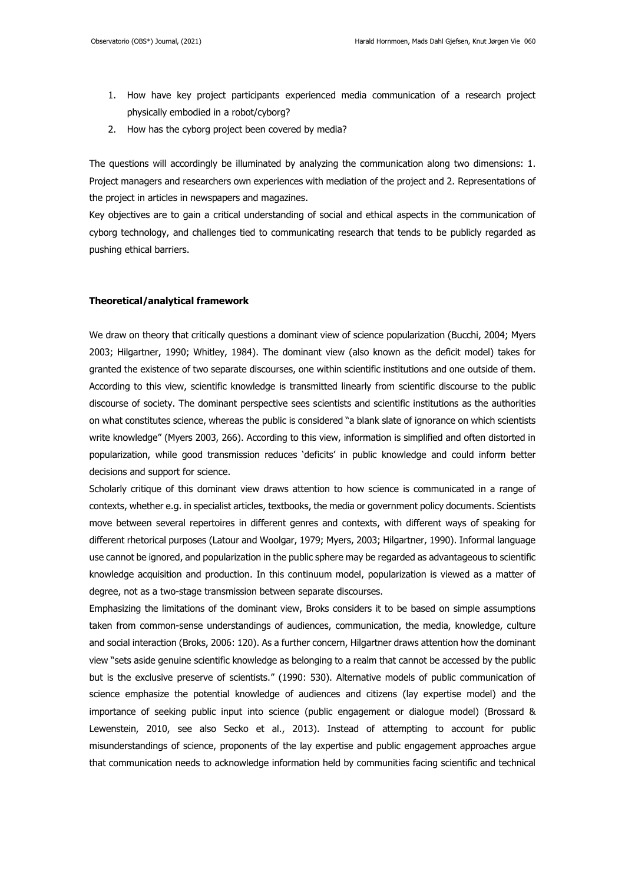- 1. How have key project participants experienced media communication of a research project physically embodied in a robot/cyborg?
- 2. How has the cyborg project been covered by media?

The questions will accordingly be illuminated by analyzing the communication along two dimensions: 1. Project managers and researchers own experiences with mediation of the project and 2. Representations of the project in articles in newspapers and magazines.

Key objectives are to gain a critical understanding of social and ethical aspects in the communication of cyborg technology, and challenges tied to communicating research that tends to be publicly regarded as pushing ethical barriers.

#### **Theoretical/analytical framework**

We draw on theory that critically questions a dominant view of science popularization (Bucchi, 2004; Myers 2003; Hilgartner, 1990; Whitley, 1984). The dominant view (also known as the deficit model) takes for granted the existence of two separate discourses, one within scientific institutions and one outside of them. According to this view, scientific knowledge is transmitted linearly from scientific discourse to the public discourse of society. The dominant perspective sees scientists and scientific institutions as the authorities on what constitutes science, whereas the public is considered "a blank slate of ignorance on which scientists write knowledge" (Myers 2003, 266). According to this view, information is simplified and often distorted in popularization, while good transmission reduces 'deficits' in public knowledge and could inform better decisions and support for science.

Scholarly critique of this dominant view draws attention to how science is communicated in a range of contexts, whether e.g. in specialist articles, textbooks, the media or government policy documents. Scientists move between several repertoires in different genres and contexts, with different ways of speaking for different rhetorical purposes (Latour and Woolgar, 1979; Myers, 2003; Hilgartner, 1990). Informal language use cannot be ignored, and popularization in the public sphere may be regarded as advantageous to scientific knowledge acquisition and production. In this continuum model, popularization is viewed as a matter of degree, not as a two-stage transmission between separate discourses.

Emphasizing the limitations of the dominant view, Broks considers it to be based on simple assumptions taken from common-sense understandings of audiences, communication, the media, knowledge, culture and social interaction (Broks, 2006: 120). As a further concern, Hilgartner draws attention how the dominant view "sets aside genuine scientific knowledge as belonging to a realm that cannot be accessed by the public but is the exclusive preserve of scientists." (1990: 530). Alternative models of public communication of science emphasize the potential knowledge of audiences and citizens (lay expertise model) and the importance of seeking public input into science (public engagement or dialogue model) (Brossard & Lewenstein, 2010, see also Secko et al., 2013). Instead of attempting to account for public misunderstandings of science, proponents of the lay expertise and public engagement approaches argue that communication needs to acknowledge information held by communities facing scientific and technical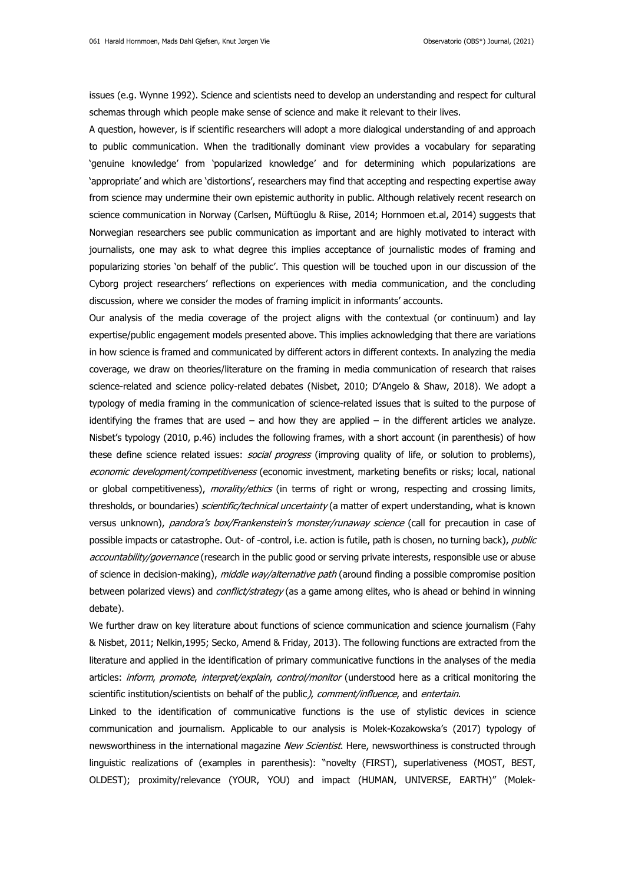issues (e.g. Wynne 1992). Science and scientists need to develop an understanding and respect for cultural schemas through which people make sense of science and make it relevant to their lives.

A question, however, is if scientific researchers will adopt a more dialogical understanding of and approach to public communication. When the traditionally dominant view provides a vocabulary for separating 'genuine knowledge' from 'popularized knowledge' and for determining which popularizations are 'appropriate' and which are 'distortions', researchers may find that accepting and respecting expertise away from science may undermine their own epistemic authority in public. Although relatively recent research on science communication in Norway (Carlsen, Müftüoglu & Riise, 2014; Hornmoen et.al, 2014) suggests that Norwegian researchers see public communication as important and are highly motivated to interact with journalists, one may ask to what degree this implies acceptance of journalistic modes of framing and popularizing stories 'on behalf of the public'. This question will be touched upon in our discussion of the Cyborg project researchers' reflections on experiences with media communication, and the concluding discussion, where we consider the modes of framing implicit in informants' accounts.

Our analysis of the media coverage of the project aligns with the contextual (or continuum) and lay expertise/public engagement models presented above. This implies acknowledging that there are variations in how science is framed and communicated by different actors in different contexts. In analyzing the media coverage, we draw on theories/literature on the framing in media communication of research that raises science-related and science policy-related debates (Nisbet, 2010; D'Angelo & Shaw, 2018). We adopt a typology of media framing in the communication of science-related issues that is suited to the purpose of identifying the frames that are used  $-$  and how they are applied  $-$  in the different articles we analyze. Nisbet's typology (2010, p.46) includes the following frames, with a short account (in parenthesis) of how these define science related issues: *social progress* (improving quality of life, or solution to problems), economic development/competitiveness (economic investment, marketing benefits or risks; local, national or global competitiveness), morality/ethics (in terms of right or wrong, respecting and crossing limits, thresholds, or boundaries) *scientific/technical uncertainty* (a matter of expert understanding, what is known versus unknown), pandora's box/Frankenstein's monster/runaway science (call for precaution in case of possible impacts or catastrophe. Out- of -control, i.e. action is futile, path is chosen, no turning back), public accountability/governance (research in the public good or serving private interests, responsible use or abuse of science in decision-making), *middle way/alternative path* (around finding a possible compromise position between polarized views) and *conflict/strategy* (as a game among elites, who is ahead or behind in winning debate).

We further draw on key literature about functions of science communication and science journalism (Fahy & Nisbet, 2011; Nelkin,1995; Secko, Amend & Friday, 2013). The following functions are extracted from the literature and applied in the identification of primary communicative functions in the analyses of the media articles: inform, promote, interpret/explain, control/monitor (understood here as a critical monitoring the scientific institution/scientists on behalf of the public), comment/influence, and entertain.

Linked to the identification of communicative functions is the use of stylistic devices in science communication and journalism. Applicable to our analysis is Molek-Kozakowska's (2017) typology of newsworthiness in the international magazine New Scientist. Here, newsworthiness is constructed through linguistic realizations of (examples in parenthesis): "novelty (FIRST), superlativeness (MOST, BEST, OLDEST); proximity/relevance (YOUR, YOU) and impact (HUMAN, UNIVERSE, EARTH)" (Molek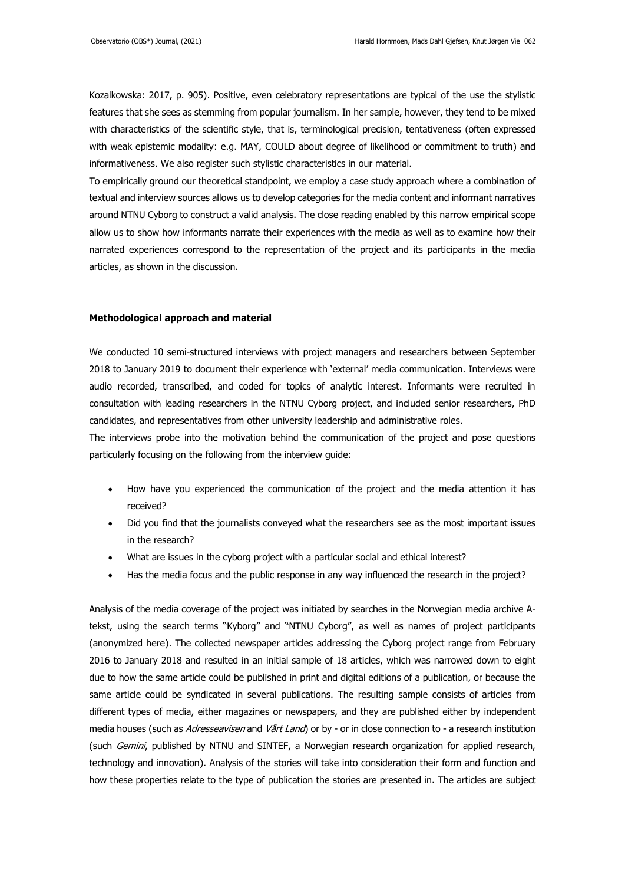Kozalkowska: 2017, p. 905). Positive, even celebratory representations are typical of the use the stylistic features that she sees as stemming from popular journalism. In her sample, however, they tend to be mixed with characteristics of the scientific style, that is, terminological precision, tentativeness (often expressed with weak epistemic modality: e.g. MAY, COULD about degree of likelihood or commitment to truth) and informativeness. We also register such stylistic characteristics in our material.

To empirically ground our theoretical standpoint, we employ a case study approach where a combination of textual and interview sources allows us to develop categories for the media content and informant narratives around NTNU Cyborg to construct a valid analysis. The close reading enabled by this narrow empirical scope allow us to show how informants narrate their experiences with the media as well as to examine how their narrated experiences correspond to the representation of the project and its participants in the media articles, as shown in the discussion.

#### **Methodological approach and material**

We conducted 10 semi-structured interviews with project managers and researchers between September 2018 to January 2019 to document their experience with 'external' media communication. Interviews were audio recorded, transcribed, and coded for topics of analytic interest. Informants were recruited in consultation with leading researchers in the NTNU Cyborg project, and included senior researchers, PhD candidates, and representatives from other university leadership and administrative roles.

The interviews probe into the motivation behind the communication of the project and pose questions particularly focusing on the following from the interview guide:

- How have you experienced the communication of the project and the media attention it has received?
- Did you find that the journalists conveyed what the researchers see as the most important issues in the research?
- What are issues in the cyborg project with a particular social and ethical interest?
- Has the media focus and the public response in any way influenced the research in the project?

Analysis of the media coverage of the project was initiated by searches in the Norwegian media archive Atekst, using the search terms "Kyborg" and "NTNU Cyborg", as well as names of project participants (anonymized here). The collected newspaper articles addressing the Cyborg project range from February 2016 to January 2018 and resulted in an initial sample of 18 articles, which was narrowed down to eight due to how the same article could be published in print and digital editions of a publication, or because the same article could be syndicated in several publications. The resulting sample consists of articles from different types of media, either magazines or newspapers, and they are published either by independent media houses (such as Adresseavisen and Vårt Land) or by - or in close connection to - a research institution (such Gemini, published by NTNU and SINTEF, a Norwegian research organization for applied research, technology and innovation). Analysis of the stories will take into consideration their form and function and how these properties relate to the type of publication the stories are presented in. The articles are subject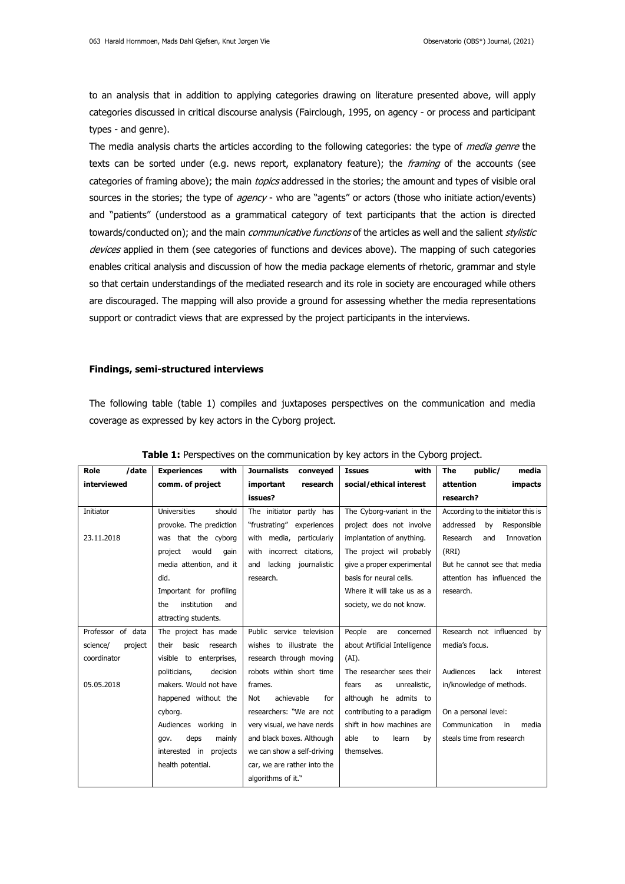to an analysis that in addition to applying categories drawing on literature presented above, will apply categories discussed in critical discourse analysis (Fairclough, 1995, on agency - or process and participant types - and genre).

The media analysis charts the articles according to the following categories: the type of *media genre* the texts can be sorted under (e.g. news report, explanatory feature); the *framing* of the accounts (see categories of framing above); the main topics addressed in the stories; the amount and types of visible oral sources in the stories; the type of agency - who are "agents" or actors (those who initiate action/events) and "patients" (understood as a grammatical category of text participants that the action is directed towards/conducted on); and the main *communicative functions* of the articles as well and the salient *stylistic* devices applied in them (see categories of functions and devices above). The mapping of such categories enables critical analysis and discussion of how the media package elements of rhetoric, grammar and style so that certain understandings of the mediated research and its role in society are encouraged while others are discouraged. The mapping will also provide a ground for assessing whether the media representations support or contradict views that are expressed by the project participants in the interviews.

#### **Findings, semi-structured interviews**

The following table (table 1) compiles and juxtaposes perspectives on the communication and media coverage as expressed by key actors in the Cyborg project.

| Role<br>/date       | <b>Experiences</b><br>with    | <b>Journalists</b><br>conveyed | with<br><b>Issues</b>         | The<br>public/<br>media            |
|---------------------|-------------------------------|--------------------------------|-------------------------------|------------------------------------|
| interviewed         | comm. of project              | important<br>research          | social/ethical interest       | attention<br>impacts               |
|                     |                               | issues?                        |                               | research?                          |
| Initiator           | <b>Universities</b><br>should | The initiator partly has       | The Cyborg-variant in the     | According to the initiator this is |
|                     | provoke. The prediction       | "frustrating"<br>experiences   | project does not involve      | addressed<br>Responsible<br>by     |
| 23.11.2018          | was that the cyborg           | with media, particularly       | implantation of anything.     | Research<br>Innovation<br>and      |
|                     | would<br>project<br>gain      | incorrect citations,<br>with   | The project will probably     | (RRI)                              |
|                     | media attention, and it       | lacking journalistic<br>and    | give a proper experimental    | But he cannot see that media       |
|                     | did.                          | research.                      | basis for neural cells.       | attention has influenced the       |
|                     | Important for profiling       |                                | Where it will take us as a    | research.                          |
|                     | institution<br>the<br>and     |                                | society, we do not know.      |                                    |
|                     | attracting students.          |                                |                               |                                    |
| Professor of data   | The project has made          | Public service television      | People<br>are<br>concerned    | Research not influenced by         |
| science/<br>project | basic<br>research<br>their    | wishes to illustrate the       | about Artificial Intelligence | media's focus.                     |
| coordinator         | visible to enterprises,       | research through moving        | $(AI)$ .                      |                                    |
|                     | decision<br>politicians,      | robots within short time       | The researcher sees their     | Audiences<br>lack<br>interest      |
| 05.05.2018          | makers. Would not have        | frames.                        | fears<br>unrealistic.<br>as   | in/knowledge of methods.           |
|                     | happened without the          | achievable<br>Not<br>for       | although he admits to         |                                    |
|                     | cyborg.                       | researchers: "We are not       | contributing to a paradigm    | On a personal level:               |
|                     | Audiences working in          | very visual, we have nerds     | shift in how machines are     | Communication<br>media<br>in       |
|                     | deps<br>mainly<br>gov.        | and black boxes. Although      | able<br>to<br>learn<br>by     | steals time from research          |
|                     | interested in<br>projects     | we can show a self-driving     | themselves.                   |                                    |
|                     | health potential.             | car, we are rather into the    |                               |                                    |
|                     |                               | algorithms of it."             |                               |                                    |

## **Table 1:** Perspectives on the communication by key actors in the Cyborg project.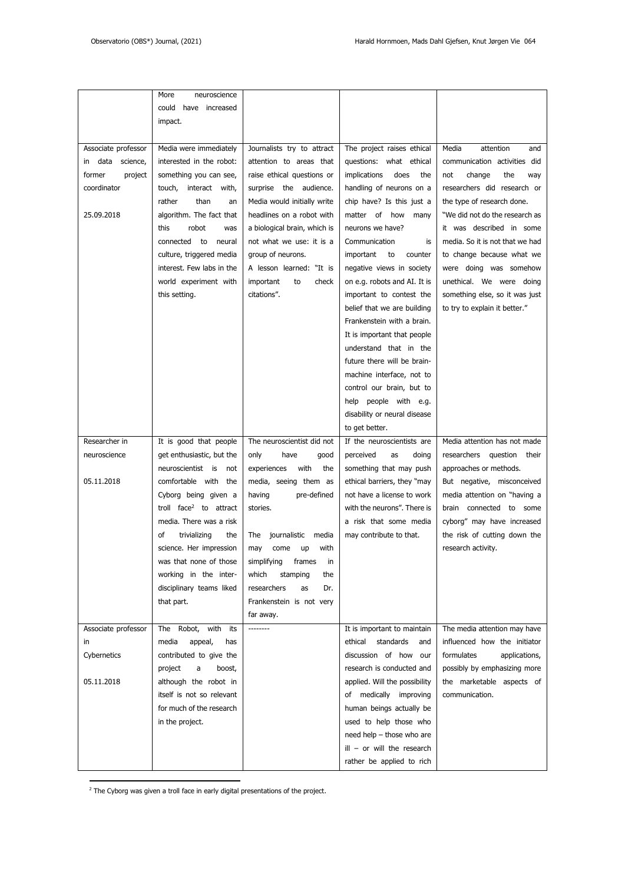|                        | More<br>neuroscience               |                              |                                     |                                 |
|------------------------|------------------------------------|------------------------------|-------------------------------------|---------------------------------|
|                        | could have increased               |                              |                                     |                                 |
|                        |                                    |                              |                                     |                                 |
|                        | impact.                            |                              |                                     |                                 |
|                        |                                    |                              |                                     |                                 |
| Associate professor    | Media were immediately             | Journalists try to attract   | The project raises ethical          | Media<br>attention<br>and       |
| data<br>science,<br>ın | interested in the robot:           | attention to areas that      | questions: what ethical             | communication activities did    |
| former<br>project      | something you can see,             | raise ethical questions or   | implications<br>does<br>the         | not<br>change<br>the<br>way     |
| coordinator            | touch, interact with,              | surprise the audience.       | handling of neurons on a            | researchers did research or     |
|                        | rather<br>than<br>an               | Media would initially write  | chip have? Is this just a           | the type of research done.      |
| 25.09.2018             | algorithm. The fact that           | headlines on a robot with    | matter of how many                  | "We did not do the research as  |
|                        | this<br>robot<br>was               | a biological brain, which is | neurons we have?                    | it was described in some        |
|                        | connected to<br>neural             | not what we use: it is a     | Communication<br>is                 | media. So it is not that we had |
|                        | culture, triggered media           | group of neurons.            | important<br>to<br>counter          | to change because what we       |
|                        | interest. Few labs in the          | A lesson learned: "It is     | negative views in society           | were doing was somehow          |
|                        | world experiment with              | important<br>to<br>check     | on e.g. robots and AI. It is        | unethical. We were doing        |
|                        |                                    |                              |                                     |                                 |
|                        | this setting.                      | citations".                  | important to contest the            | something else, so it was just  |
|                        |                                    |                              | belief that we are building         | to try to explain it better."   |
|                        |                                    |                              | Frankenstein with a brain.          |                                 |
|                        |                                    |                              | It is important that people         |                                 |
|                        |                                    |                              | understand that in the              |                                 |
|                        |                                    |                              | future there will be brain-         |                                 |
|                        |                                    |                              | machine interface, not to           |                                 |
|                        |                                    |                              | control our brain, but to           |                                 |
|                        |                                    |                              | help people with e.g.               |                                 |
|                        |                                    |                              | disability or neural disease        |                                 |
|                        |                                    |                              | to get better.                      |                                 |
| Researcher in          | It is good that people             | The neuroscientist did not   | If the neuroscientists are          | Media attention has not made    |
| neuroscience           | get enthusiastic, but the          | only<br>have<br>good         | perceived<br>as<br>doing            | researchers question their      |
|                        | neuroscientist is<br>not           | with<br>experiences<br>the   | something that may push             | approaches or methods.          |
| 05.11.2018             | comfortable with the               | media, seeing them as        | ethical barriers, they "may         | But negative, misconceived      |
|                        | Cyborg being given a               | having<br>pre-defined        | not have a license to work          | media attention on "having a    |
|                        | troll face <sup>2</sup> to attract | stories.                     | with the neurons". There is         | brain connected to some         |
|                        | media. There was a risk            |                              | a risk that some media              | cyborg" may have increased      |
|                        |                                    |                              |                                     |                                 |
|                        | trivializing<br>οf<br>the          | The<br>journalistic<br>media | may contribute to that.             | the risk of cutting down the    |
|                        | science. Her impression            | may<br>come<br>up<br>with    |                                     | research activity.              |
|                        | was that none of those             | simplifying<br>frames<br>in  |                                     |                                 |
|                        | working in the inter-              | which<br>stamping<br>the     |                                     |                                 |
|                        | disciplinary teams liked           | researchers<br>Dr.<br>as     |                                     |                                 |
|                        | that part.                         | Frankenstein is not very     |                                     |                                 |
|                        |                                    | far away.                    |                                     |                                 |
| Associate professor    | The Robot, with its                |                              | It is important to maintain         | The media attention may have    |
| in                     | media<br>appeal,<br>has            |                              | standards<br>ethical<br>and         | influenced how the initiator    |
| Cybernetics            | contributed to give the            |                              | discussion of how our               | formulates<br>applications,     |
|                        | a<br>project<br>boost,             |                              | research is conducted and           | possibly by emphasizing more    |
| 05.11.2018             | although the robot in              |                              | applied. Will the possibility       | the marketable aspects of       |
|                        | itself is not so relevant          |                              | of medically improving              | communication.                  |
|                        | for much of the research           |                              | human beings actually be            |                                 |
|                        | in the project.                    |                              | used to help those who              |                                 |
|                        |                                    |                              | need help $-$ those who are         |                                 |
|                        |                                    |                              | $\mathbf{1}$ = or will the research |                                 |
|                        |                                    |                              |                                     |                                 |
|                        |                                    |                              | rather be applied to rich           |                                 |

 $2$  The Cyborg was given a troll face in early digital presentations of the project.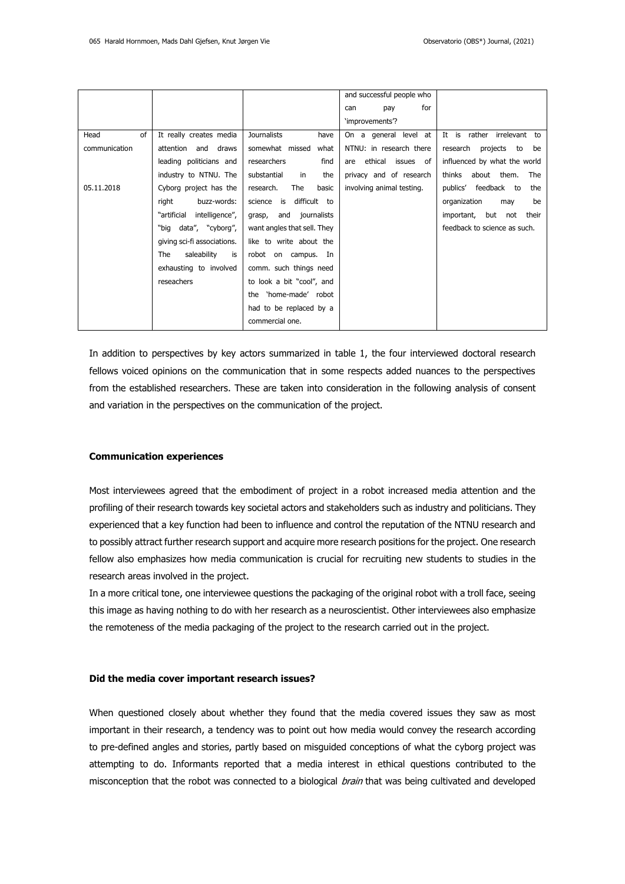|               |                               |                              | and successful people who |                                     |
|---------------|-------------------------------|------------------------------|---------------------------|-------------------------------------|
|               |                               |                              | for<br>can<br>pay         |                                     |
|               |                               |                              | 'improvements'?           |                                     |
| of<br>Head    | It really creates media       | <b>Journalists</b><br>have   | On a general level at     | It is rather<br>irrelevant to       |
| communication | attention<br>and<br>draws     | somewhat missed<br>what      | NTNU: in research there   | research<br>projects<br>be<br>to    |
|               | leading politicians and       | researchers<br>find          | ethical issues of<br>are  | influenced by what the world        |
|               | industry to NTNU. The         | substantial<br>the<br>in     | privacy and of research   | about them.<br>thinks<br><b>The</b> |
| 05.11.2018    | Cyborg project has the        | The<br>research.<br>basic    | involving animal testing. | publics' feedback to<br>the         |
|               | right<br>buzz-words:          | difficult to<br>science is   |                           | organization<br>be<br>may           |
|               | "artificial<br>intelligence", | journalists<br>and<br>grasp, |                           | important,<br>but<br>their<br>not   |
|               | "big data", "cyborg",         | want angles that sell. They  |                           | feedback to science as such.        |
|               | giving sci-fi associations.   | like to write about the      |                           |                                     |
|               | saleability<br>is<br>The      | robot on campus. In          |                           |                                     |
|               | exhausting to involved        | comm. such things need       |                           |                                     |
|               | reseachers                    | to look a bit "cool", and    |                           |                                     |
|               |                               | the 'home-made' robot        |                           |                                     |
|               |                               | had to be replaced by a      |                           |                                     |
|               |                               | commercial one.              |                           |                                     |

In addition to perspectives by key actors summarized in table 1, the four interviewed doctoral research fellows voiced opinions on the communication that in some respects added nuances to the perspectives from the established researchers. These are taken into consideration in the following analysis of consent and variation in the perspectives on the communication of the project.

#### **Communication experiences**

Most interviewees agreed that the embodiment of project in a robot increased media attention and the profiling of their research towards key societal actors and stakeholders such as industry and politicians. They experienced that a key function had been to influence and control the reputation of the NTNU research and to possibly attract further research support and acquire more research positions for the project. One research fellow also emphasizes how media communication is crucial for recruiting new students to studies in the research areas involved in the project.

In a more critical tone, one interviewee questions the packaging of the original robot with a troll face, seeing this image as having nothing to do with her research as a neuroscientist. Other interviewees also emphasize the remoteness of the media packaging of the project to the research carried out in the project.

#### **Did the media cover important research issues?**

When questioned closely about whether they found that the media covered issues they saw as most important in their research, a tendency was to point out how media would convey the research according to pre-defined angles and stories, partly based on misguided conceptions of what the cyborg project was attempting to do. Informants reported that a media interest in ethical questions contributed to the misconception that the robot was connected to a biological *brain* that was being cultivated and developed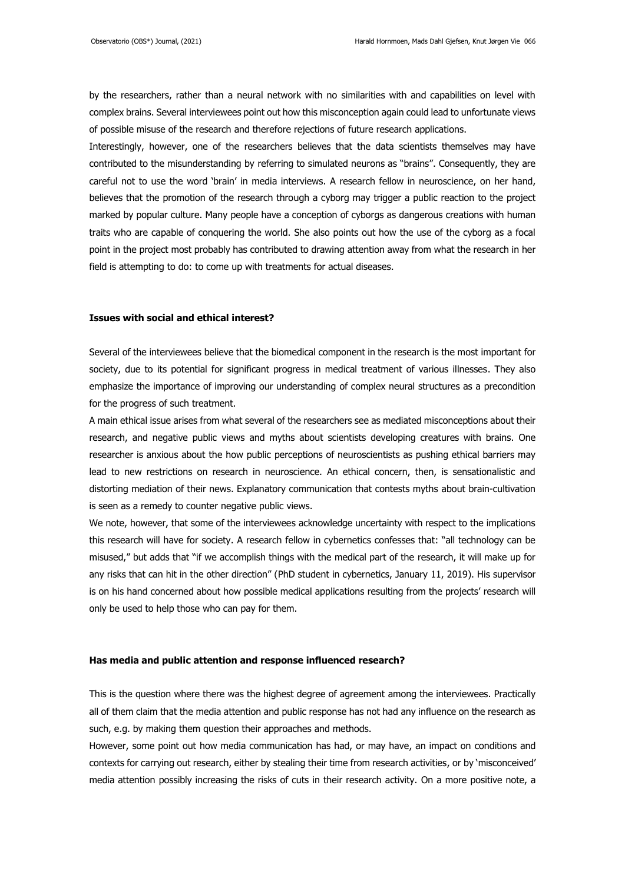by the researchers, rather than a neural network with no similarities with and capabilities on level with complex brains. Several interviewees point out how this misconception again could lead to unfortunate views of possible misuse of the research and therefore rejections of future research applications.

Interestingly, however, one of the researchers believes that the data scientists themselves may have contributed to the misunderstanding by referring to simulated neurons as "brains". Consequently, they are careful not to use the word 'brain' in media interviews. A research fellow in neuroscience, on her hand, believes that the promotion of the research through a cyborg may trigger a public reaction to the project marked by popular culture. Many people have a conception of cyborgs as dangerous creations with human traits who are capable of conquering the world. She also points out how the use of the cyborg as a focal point in the project most probably has contributed to drawing attention away from what the research in her field is attempting to do: to come up with treatments for actual diseases.

## **Issues with social and ethical interest?**

Several of the interviewees believe that the biomedical component in the research is the most important for society, due to its potential for significant progress in medical treatment of various illnesses. They also emphasize the importance of improving our understanding of complex neural structures as a precondition for the progress of such treatment.

A main ethical issue arises from what several of the researchers see as mediated misconceptions about their research, and negative public views and myths about scientists developing creatures with brains. One researcher is anxious about the how public perceptions of neuroscientists as pushing ethical barriers may lead to new restrictions on research in neuroscience. An ethical concern, then, is sensationalistic and distorting mediation of their news. Explanatory communication that contests myths about brain-cultivation is seen as a remedy to counter negative public views.

We note, however, that some of the interviewees acknowledge uncertainty with respect to the implications this research will have for society. A research fellow in cybernetics confesses that: "all technology can be misused," but adds that "if we accomplish things with the medical part of the research, it will make up for any risks that can hit in the other direction" (PhD student in cybernetics, January 11, 2019). His supervisor is on his hand concerned about how possible medical applications resulting from the projects' research will only be used to help those who can pay for them.

# **Has media and public attention and response influenced research?**

This is the question where there was the highest degree of agreement among the interviewees. Practically all of them claim that the media attention and public response has not had any influence on the research as such, e.g. by making them question their approaches and methods.

However, some point out how media communication has had, or may have, an impact on conditions and contexts for carrying out research, either by stealing their time from research activities, or by 'misconceived' media attention possibly increasing the risks of cuts in their research activity. On a more positive note, a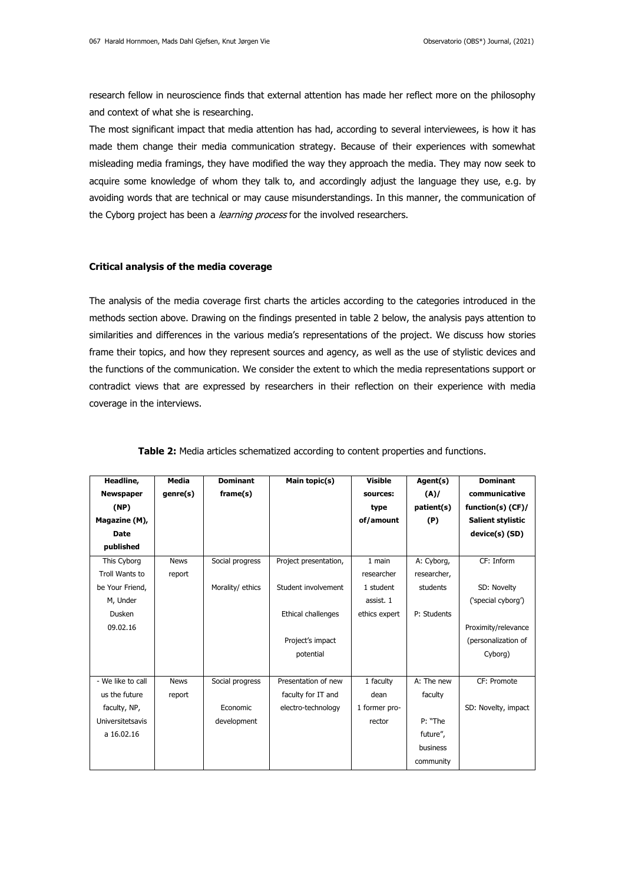research fellow in neuroscience finds that external attention has made her reflect more on the philosophy and context of what she is researching.

The most significant impact that media attention has had, according to several interviewees, is how it has made them change their media communication strategy. Because of their experiences with somewhat misleading media framings, they have modified the way they approach the media. They may now seek to acquire some knowledge of whom they talk to, and accordingly adjust the language they use, e.g. by avoiding words that are technical or may cause misunderstandings. In this manner, the communication of the Cyborg project has been a *learning process* for the involved researchers.

#### **Critical analysis of the media coverage**

The analysis of the media coverage first charts the articles according to the categories introduced in the methods section above. Drawing on the findings presented in table 2 below, the analysis pays attention to similarities and differences in the various media's representations of the project. We discuss how stories frame their topics, and how they represent sources and agency, as well as the use of stylistic devices and the functions of the communication. We consider the extent to which the media representations support or contradict views that are expressed by researchers in their reflection on their experience with media coverage in the interviews.

| Headline,         | <b>Media</b> | <b>Dominant</b>  | Main topic(s)         | <b>Visible</b> | Agent(s)    | <b>Dominant</b>          |
|-------------------|--------------|------------------|-----------------------|----------------|-------------|--------------------------|
| <b>Newspaper</b>  | genre(s)     | frame(s)         |                       | sources:       | (A)/        | communicative            |
| (NP)              |              |                  |                       | type           | patient(s)  | function(s) (CF)/        |
| Magazine (M),     |              |                  |                       | of/amount      | (P)         | <b>Salient stylistic</b> |
| <b>Date</b>       |              |                  |                       |                |             | device(s) (SD)           |
| published         |              |                  |                       |                |             |                          |
| This Cyborg       | <b>News</b>  | Social progress  | Project presentation, | 1 main         | A: Cyborg,  | CF: Inform               |
| Troll Wants to    | report       |                  |                       | researcher     | researcher, |                          |
| be Your Friend,   |              | Morality/ ethics | Student involvement   | 1 student      | students    | SD: Novelty              |
| M, Under          |              |                  |                       | assist. 1      |             | ('special cyborg')       |
| Dusken            |              |                  | Ethical challenges    | ethics expert  | P: Students |                          |
| 09.02.16          |              |                  |                       |                |             | Proximity/relevance      |
|                   |              |                  | Project's impact      |                |             | (personalization of      |
|                   |              |                  | potential             |                |             | Cyborg)                  |
|                   |              |                  |                       |                |             |                          |
| - We like to call | <b>News</b>  | Social progress  | Presentation of new   | 1 faculty      | A: The new  | CF: Promote              |
| us the future     | report       |                  | faculty for IT and    | dean           | faculty     |                          |
| faculty, NP,      |              | Economic         | electro-technology    | 1 former pro-  |             | SD: Novelty, impact      |
| Universitetsavis  |              | development      |                       | rector         | P: "The     |                          |
| a 16.02.16        |              |                  |                       |                | future",    |                          |
|                   |              |                  |                       |                | business    |                          |
|                   |              |                  |                       |                | community   |                          |

|  |  |  | Table 2: Media articles schematized according to content properties and functions. |
|--|--|--|------------------------------------------------------------------------------------|
|  |  |  |                                                                                    |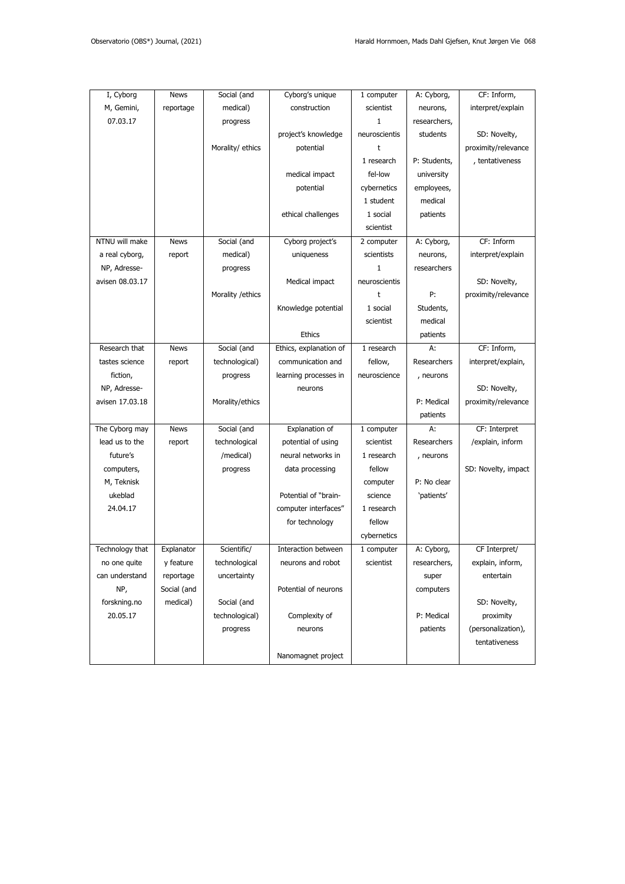| I, Cyborg       | <b>News</b> | Social (and       | Cyborg's unique        | 1 computer    | A: Cyborg,   | CF: Inform,         |
|-----------------|-------------|-------------------|------------------------|---------------|--------------|---------------------|
| M, Gemini,      | reportage   | medical)          | construction           | scientist     | neurons,     | interpret/explain   |
| 07.03.17        |             | progress          |                        | $\mathbf{1}$  | researchers, |                     |
|                 |             |                   | project's knowledge    | neuroscientis | students     | SD: Novelty,        |
|                 |             | Morality/ ethics  | potential              | t             |              | proximity/relevance |
|                 |             |                   |                        | 1 research    | P: Students, | , tentativeness     |
|                 |             |                   | medical impact         | fel-low       | university   |                     |
|                 |             |                   | potential              | cybernetics   | employees,   |                     |
|                 |             |                   |                        | 1 student     | medical      |                     |
|                 |             |                   | ethical challenges     | 1 social      | patients     |                     |
|                 |             |                   |                        | scientist     |              |                     |
| NTNU will make  | <b>News</b> | Social (and       | Cyborg project's       | 2 computer    | A: Cyborg,   | CF: Inform          |
| a real cyborg,  | report      | medical)          | uniqueness             | scientists    | neurons,     | interpret/explain   |
| NP, Adresse-    |             | progress          |                        | $\mathbf{1}$  | researchers  |                     |
| avisen 08.03.17 |             |                   | Medical impact         | neuroscientis |              | SD: Novelty,        |
|                 |             | Morality / ethics |                        | t             | P:           | proximity/relevance |
|                 |             |                   | Knowledge potential    | 1 social      | Students,    |                     |
|                 |             |                   |                        | scientist     | medical      |                     |
|                 |             |                   | <b>Ethics</b>          |               | patients     |                     |
| Research that   | <b>News</b> | Social (and       | Ethics, explanation of | 1 research    | А:           | CF: Inform,         |
| tastes science  | report      | technological)    | communication and      | fellow,       | Researchers  | interpret/explain,  |
| fiction,        |             | progress          | learning processes in  | neuroscience  | , neurons    |                     |
| NP, Adresse-    |             |                   | neurons                |               |              | SD: Novelty,        |
| avisen 17.03.18 |             | Morality/ethics   |                        |               | P: Medical   | proximity/relevance |
|                 |             |                   |                        |               | patients     |                     |
| The Cyborg may  | <b>News</b> | Social (and       | Explanation of         | 1 computer    | А:           | CF: Interpret       |
| lead us to the  | report      | technological     | potential of using     | scientist     | Researchers  | /explain, inform    |
| future's        |             | /medical)         | neural networks in     | 1 research    | , neurons    |                     |
| computers,      |             | progress          | data processing        | fellow        |              | SD: Novelty, impact |
| M, Teknisk      |             |                   |                        | computer      | P: No clear  |                     |
| ukeblad         |             |                   | Potential of "brain-   | science       | 'patients'   |                     |
| 24.04.17        |             |                   | computer interfaces"   | 1 research    |              |                     |
|                 |             |                   | for technology         | fellow        |              |                     |
|                 |             |                   |                        | cybernetics   |              |                     |
| Technology that | Explanator  | Scientific/       | Interaction between    | 1 computer    | A: Cyborg,   | CF Interpret/       |
| no one quite    | y feature   | technological     | neurons and robot      | scientist     | researchers, | explain, inform,    |
| can understand  | reportage   | uncertainty       |                        |               | super        | entertain           |
| NP,             | Social (and |                   | Potential of neurons   |               | computers    |                     |
| forskning.no    | medical)    | Social (and       |                        |               |              | SD: Novelty,        |
| 20.05.17        |             | technological)    | Complexity of          |               | P: Medical   | proximity           |
|                 |             | progress          | neurons                |               | patients     | (personalization),  |
|                 |             |                   |                        |               |              | tentativeness       |
|                 |             |                   | Nanomagnet project     |               |              |                     |
|                 |             |                   |                        |               |              |                     |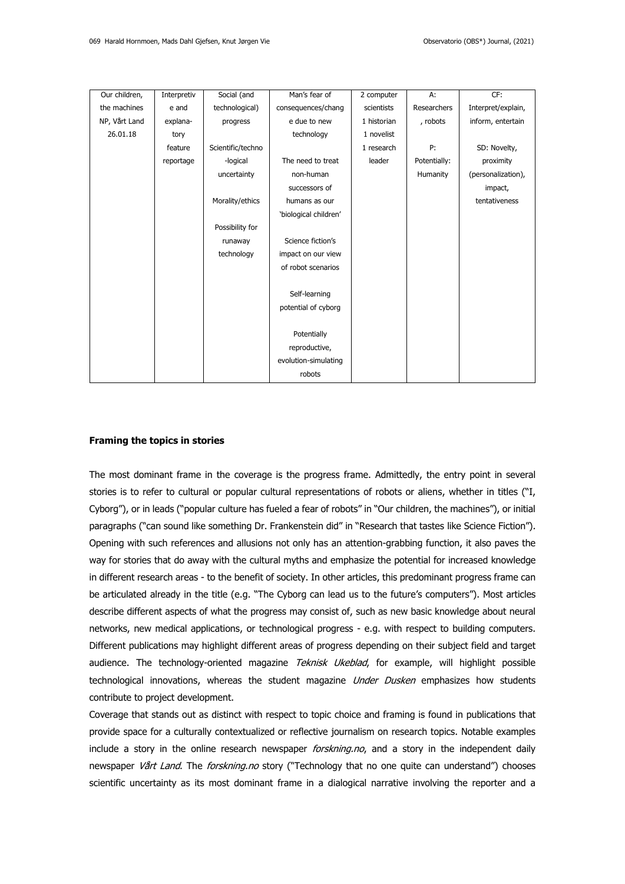| Our children, | Interpretiv | Social (and       | Man's fear of         | 2 computer  | A:           | CF:                |
|---------------|-------------|-------------------|-----------------------|-------------|--------------|--------------------|
| the machines  | e and       | technological)    | consequences/chang    | scientists  | Researchers  | Interpret/explain, |
| NP, Vårt Land | explana-    | progress          | e due to new          | 1 historian | , robots     | inform, entertain  |
| 26.01.18      | tory        |                   | technology            | 1 novelist  |              |                    |
|               | feature     | Scientific/techno |                       | 1 research  | P:           | SD: Novelty,       |
|               | reportage   | -logical          | The need to treat     | leader      | Potentially: | proximity          |
|               |             | uncertainty       | non-human             |             | Humanity     | (personalization), |
|               |             |                   | successors of         |             |              | impact,            |
|               |             | Morality/ethics   | humans as our         |             |              | tentativeness      |
|               |             |                   | 'biological children' |             |              |                    |
|               |             | Possibility for   |                       |             |              |                    |
|               |             | runaway           | Science fiction's     |             |              |                    |
|               |             | technology        | impact on our view    |             |              |                    |
|               |             |                   | of robot scenarios    |             |              |                    |
|               |             |                   |                       |             |              |                    |
|               |             |                   | Self-learning         |             |              |                    |
|               |             |                   | potential of cyborg   |             |              |                    |
|               |             |                   |                       |             |              |                    |
|               |             |                   | Potentially           |             |              |                    |
|               |             |                   | reproductive,         |             |              |                    |
|               |             |                   | evolution-simulating  |             |              |                    |
|               |             |                   | robots                |             |              |                    |

## **Framing the topics in stories**

The most dominant frame in the coverage is the progress frame. Admittedly, the entry point in several stories is to refer to cultural or popular cultural representations of robots or aliens, whether in titles ("I, Cyborg"), or in leads ("popular culture has fueled a fear of robots" in "Our children, the machines"), or initial paragraphs ("can sound like something Dr. Frankenstein did" in "Research that tastes like Science Fiction"). Opening with such references and allusions not only has an attention-grabbing function, it also paves the way for stories that do away with the cultural myths and emphasize the potential for increased knowledge in different research areas - to the benefit of society. In other articles, this predominant progress frame can be articulated already in the title (e.g. "The Cyborg can lead us to the future's computers"). Most articles describe different aspects of what the progress may consist of, such as new basic knowledge about neural networks, new medical applications, or technological progress - e.g. with respect to building computers. Different publications may highlight different areas of progress depending on their subject field and target audience. The technology-oriented magazine Teknisk Ukeblad, for example, will highlight possible technological innovations, whereas the student magazine Under Dusken emphasizes how students contribute to project development.

Coverage that stands out as distinct with respect to topic choice and framing is found in publications that provide space for a culturally contextualized or reflective journalism on research topics. Notable examples include a story in the online research newspaper forskning.no, and a story in the independent daily newspaper Vårt Land. The forskning.no story ("Technology that no one quite can understand") chooses scientific uncertainty as its most dominant frame in a dialogical narrative involving the reporter and a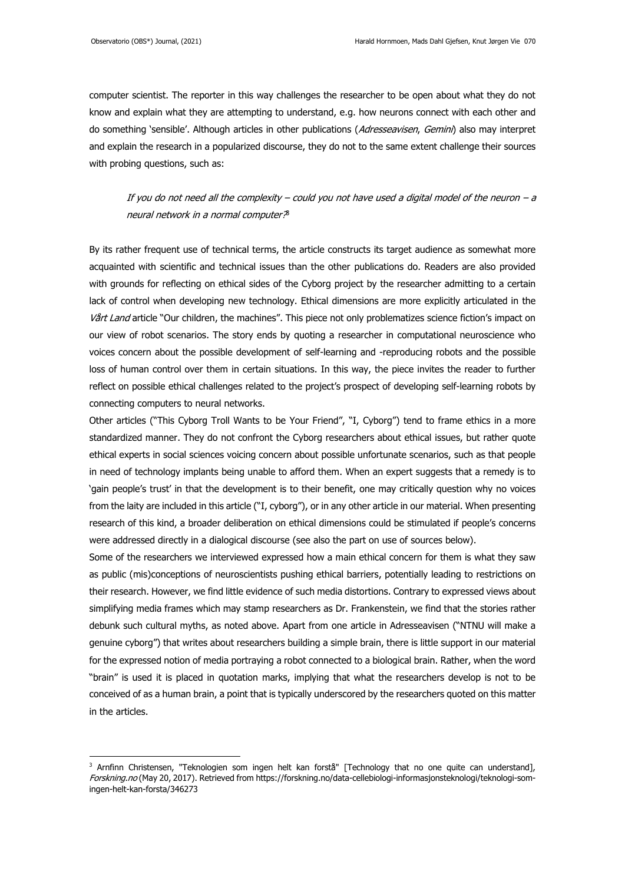computer scientist. The reporter in this way challenges the researcher to be open about what they do not know and explain what they are attempting to understand, e.g. how neurons connect with each other and do something 'sensible'. Although articles in other publications (Adresseavisen, Gemini) also may interpret and explain the research in a popularized discourse, they do not to the same extent challenge their sources with probing questions, such as:

If you do not need all the complexity – could you not have used a digital model of the neuron – a neural network in a normal computer? 3

By its rather frequent use of technical terms, the article constructs its target audience as somewhat more acquainted with scientific and technical issues than the other publications do. Readers are also provided with grounds for reflecting on ethical sides of the Cyborg project by the researcher admitting to a certain lack of control when developing new technology. Ethical dimensions are more explicitly articulated in the Vårt Land article "Our children, the machines". This piece not only problematizes science fiction's impact on our view of robot scenarios. The story ends by quoting a researcher in computational neuroscience who voices concern about the possible development of self-learning and -reproducing robots and the possible loss of human control over them in certain situations. In this way, the piece invites the reader to further reflect on possible ethical challenges related to the project's prospect of developing self-learning robots by connecting computers to neural networks.

Other articles ("This Cyborg Troll Wants to be Your Friend", "I, Cyborg") tend to frame ethics in a more standardized manner. They do not confront the Cyborg researchers about ethical issues, but rather quote ethical experts in social sciences voicing concern about possible unfortunate scenarios, such as that people in need of technology implants being unable to afford them. When an expert suggests that a remedy is to 'gain people's trust' in that the development is to their benefit, one may critically question why no voices from the laity are included in this article ("I, cyborg"), or in any other article in our material. When presenting research of this kind, a broader deliberation on ethical dimensions could be stimulated if people's concerns were addressed directly in a dialogical discourse (see also the part on use of sources below).

Some of the researchers we interviewed expressed how a main ethical concern for them is what they saw as public (mis)conceptions of neuroscientists pushing ethical barriers, potentially leading to restrictions on their research. However, we find little evidence of such media distortions. Contrary to expressed views about simplifying media frames which may stamp researchers as Dr. Frankenstein, we find that the stories rather debunk such cultural myths, as noted above. Apart from one article in Adresseavisen ("NTNU will make a genuine cyborg") that writes about researchers building a simple brain, there is little support in our material for the expressed notion of media portraying a robot connected to a biological brain. Rather, when the word "brain" is used it is placed in quotation marks, implying that what the researchers develop is not to be conceived of as a human brain, a point that is typically underscored by the researchers quoted on this matter in the articles.

<sup>&</sup>lt;sup>3</sup> Arnfinn Christensen, "Teknologien som ingen helt kan forstå" [Technology that no one quite can understand], Forskning.no (May 20, 2017). Retrieved fro[m https://forskning.no/data-cellebiologi-informasjonsteknologi/teknologi-som](https://forskning.no/data-cellebiologi-informasjonsteknologi/teknologi-som-ingen-helt-kan-forsta/346273)[ingen-helt-kan-forsta/346273](https://forskning.no/data-cellebiologi-informasjonsteknologi/teknologi-som-ingen-helt-kan-forsta/346273)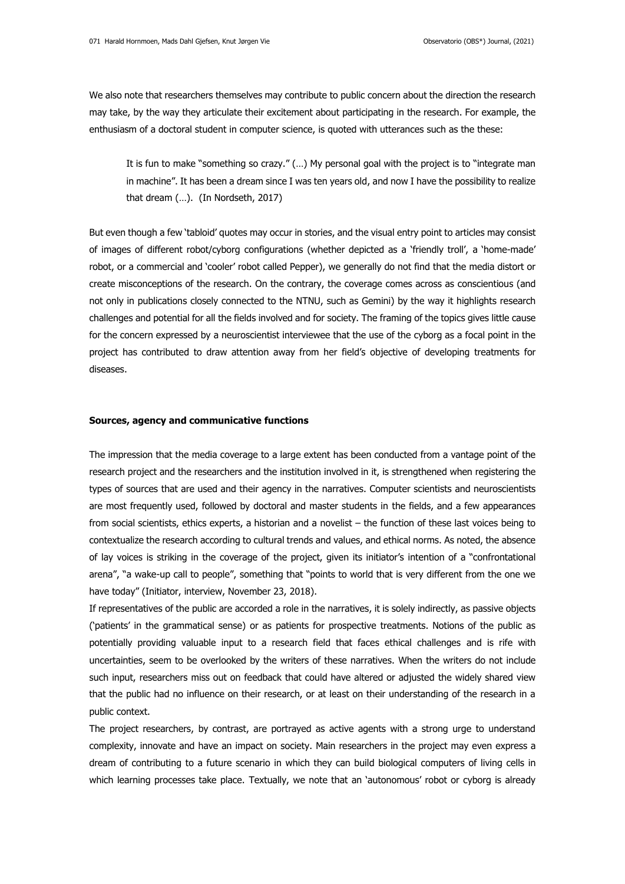We also note that researchers themselves may contribute to public concern about the direction the research may take, by the way they articulate their excitement about participating in the research. For example, the enthusiasm of a doctoral student in computer science, is quoted with utterances such as the these:

It is fun to make "something so crazy." (…) My personal goal with the project is to "integrate man in machine". It has been a dream since I was ten years old, and now I have the possibility to realize that dream (…). (In Nordseth, 2017)

But even though a few 'tabloid' quotes may occur in stories, and the visual entry point to articles may consist of images of different robot/cyborg configurations (whether depicted as a 'friendly troll', a 'home-made' robot, or a commercial and 'cooler' robot called Pepper), we generally do not find that the media distort or create misconceptions of the research. On the contrary, the coverage comes across as conscientious (and not only in publications closely connected to the NTNU, such as Gemini) by the way it highlights research challenges and potential for all the fields involved and for society. The framing of the topics gives little cause for the concern expressed by a neuroscientist interviewee that the use of the cyborg as a focal point in the project has contributed to draw attention away from her field's objective of developing treatments for diseases.

#### **Sources, agency and communicative functions**

The impression that the media coverage to a large extent has been conducted from a vantage point of the research project and the researchers and the institution involved in it, is strengthened when registering the types of sources that are used and their agency in the narratives. Computer scientists and neuroscientists are most frequently used, followed by doctoral and master students in the fields, and a few appearances from social scientists, ethics experts, a historian and a novelist – the function of these last voices being to contextualize the research according to cultural trends and values, and ethical norms. As noted, the absence of lay voices is striking in the coverage of the project, given its initiator's intention of a "confrontational arena", "a wake-up call to people", something that "points to world that is very different from the one we have today" (Initiator, interview, November 23, 2018).

If representatives of the public are accorded a role in the narratives, it is solely indirectly, as passive objects ('patients' in the grammatical sense) or as patients for prospective treatments. Notions of the public as potentially providing valuable input to a research field that faces ethical challenges and is rife with uncertainties, seem to be overlooked by the writers of these narratives. When the writers do not include such input, researchers miss out on feedback that could have altered or adjusted the widely shared view that the public had no influence on their research, or at least on their understanding of the research in a public context.

The project researchers, by contrast, are portrayed as active agents with a strong urge to understand complexity, innovate and have an impact on society. Main researchers in the project may even express a dream of contributing to a future scenario in which they can build biological computers of living cells in which learning processes take place. Textually, we note that an 'autonomous' robot or cyborg is already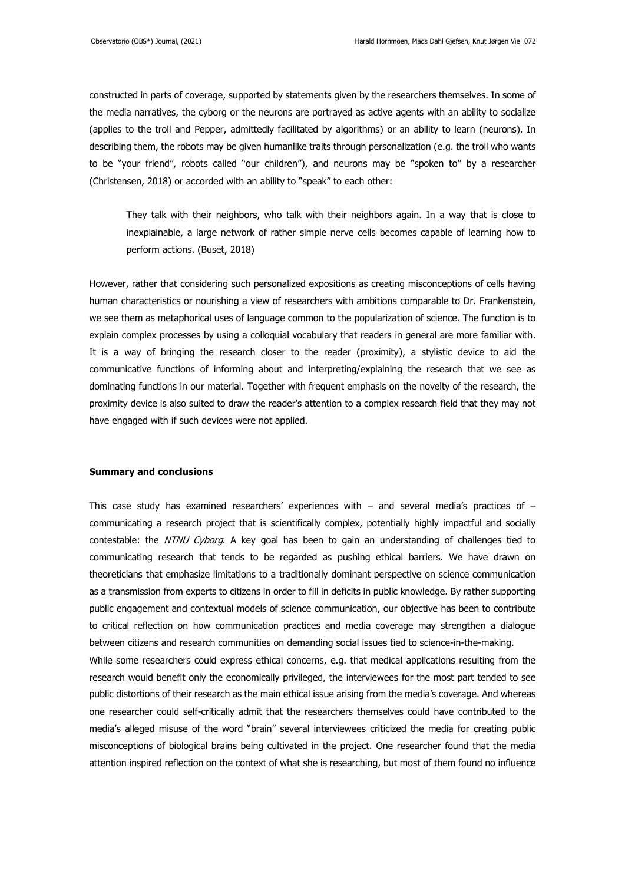constructed in parts of coverage, supported by statements given by the researchers themselves. In some of the media narratives, the cyborg or the neurons are portrayed as active agents with an ability to socialize (applies to the troll and Pepper, admittedly facilitated by algorithms) or an ability to learn (neurons). In describing them, the robots may be given humanlike traits through personalization (e.g. the troll who wants to be "your friend", robots called "our children"), and neurons may be "spoken to" by a researcher (Christensen, 2018) or accorded with an ability to "speak" to each other:

They talk with their neighbors, who talk with their neighbors again. In a way that is close to inexplainable, a large network of rather simple nerve cells becomes capable of learning how to perform actions. (Buset, 2018)

However, rather that considering such personalized expositions as creating misconceptions of cells having human characteristics or nourishing a view of researchers with ambitions comparable to Dr. Frankenstein, we see them as metaphorical uses of language common to the popularization of science. The function is to explain complex processes by using a colloquial vocabulary that readers in general are more familiar with. It is a way of bringing the research closer to the reader (proximity), a stylistic device to aid the communicative functions of informing about and interpreting/explaining the research that we see as dominating functions in our material. Together with frequent emphasis on the novelty of the research, the proximity device is also suited to draw the reader's attention to a complex research field that they may not have engaged with if such devices were not applied.

#### **Summary and conclusions**

This case study has examined researchers' experiences with  $-$  and several media's practices of  $$ communicating a research project that is scientifically complex, potentially highly impactful and socially contestable: the NTNU Cyborg. A key goal has been to gain an understanding of challenges tied to communicating research that tends to be regarded as pushing ethical barriers. We have drawn on theoreticians that emphasize limitations to a traditionally dominant perspective on science communication as a transmission from experts to citizens in order to fill in deficits in public knowledge. By rather supporting public engagement and contextual models of science communication, our objective has been to contribute to critical reflection on how communication practices and media coverage may strengthen a dialogue between citizens and research communities on demanding social issues tied to science-in-the-making. While some researchers could express ethical concerns, e.g. that medical applications resulting from the research would benefit only the economically privileged, the interviewees for the most part tended to see public distortions of their research as the main ethical issue arising from the media's coverage. And whereas one researcher could self-critically admit that the researchers themselves could have contributed to the media's alleged misuse of the word "brain" several interviewees criticized the media for creating public misconceptions of biological brains being cultivated in the project. One researcher found that the media attention inspired reflection on the context of what she is researching, but most of them found no influence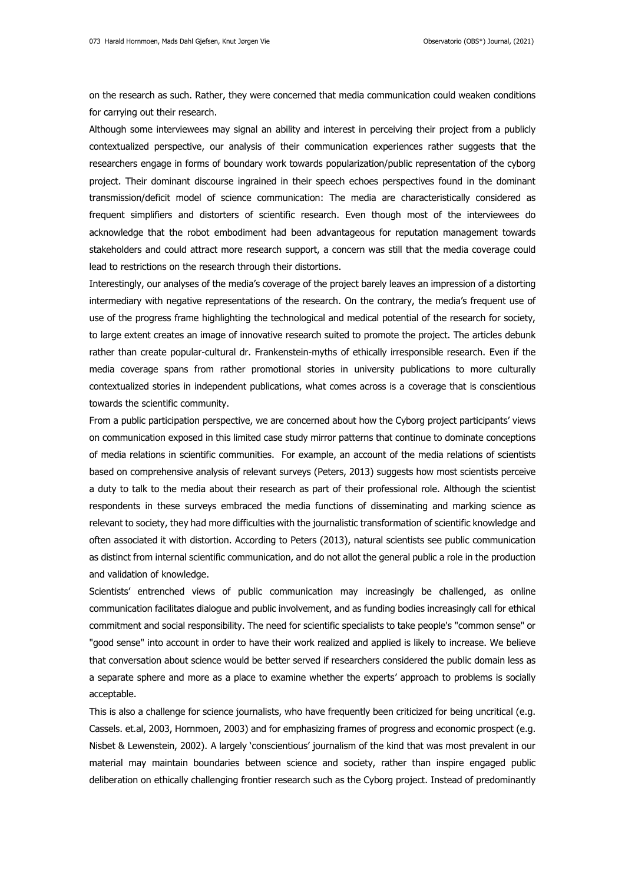on the research as such. Rather, they were concerned that media communication could weaken conditions for carrying out their research.

Although some interviewees may signal an ability and interest in perceiving their project from a publicly contextualized perspective, our analysis of their communication experiences rather suggests that the researchers engage in forms of boundary work towards popularization/public representation of the cyborg project. Their dominant discourse ingrained in their speech echoes perspectives found in the dominant transmission/deficit model of science communication: The media are characteristically considered as frequent simplifiers and distorters of scientific research. Even though most of the interviewees do acknowledge that the robot embodiment had been advantageous for reputation management towards stakeholders and could attract more research support, a concern was still that the media coverage could lead to restrictions on the research through their distortions.

Interestingly, our analyses of the media's coverage of the project barely leaves an impression of a distorting intermediary with negative representations of the research. On the contrary, the media's frequent use of use of the progress frame highlighting the technological and medical potential of the research for society, to large extent creates an image of innovative research suited to promote the project. The articles debunk rather than create popular-cultural dr. Frankenstein-myths of ethically irresponsible research. Even if the media coverage spans from rather promotional stories in university publications to more culturally contextualized stories in independent publications, what comes across is a coverage that is conscientious towards the scientific community.

From a public participation perspective, we are concerned about how the Cyborg project participants' views on communication exposed in this limited case study mirror patterns that continue to dominate conceptions of media relations in scientific communities. For example, an account of the media relations of scientists based on comprehensive analysis of relevant surveys (Peters, 2013) suggests how most scientists perceive a duty to talk to the media about their research as part of their professional role. Although the scientist respondents in these surveys embraced the media functions of disseminating and marking science as relevant to society, they had more difficulties with the journalistic transformation of scientific knowledge and often associated it with distortion. According to Peters (2013), natural scientists see public communication as distinct from internal scientific communication, and do not allot the general public a role in the production and validation of knowledge.

Scientists' entrenched views of public communication may increasingly be challenged, as online communication facilitates dialogue and public involvement, and as funding bodies increasingly call for ethical commitment and social responsibility. The need for scientific specialists to take people's "common sense" or "good sense" into account in order to have their work realized and applied is likely to increase. We believe that conversation about science would be better served if researchers considered the public domain less as a separate sphere and more as a place to examine whether the experts' approach to problems is socially acceptable.

This is also a challenge for science journalists, who have frequently been criticized for being uncritical (e.g. Cassels. et.al, 2003, Hornmoen, 2003) and for emphasizing frames of progress and economic prospect (e.g. Nisbet & Lewenstein, 2002). A largely 'conscientious' journalism of the kind that was most prevalent in our material may maintain boundaries between science and society, rather than inspire engaged public deliberation on ethically challenging frontier research such as the Cyborg project. Instead of predominantly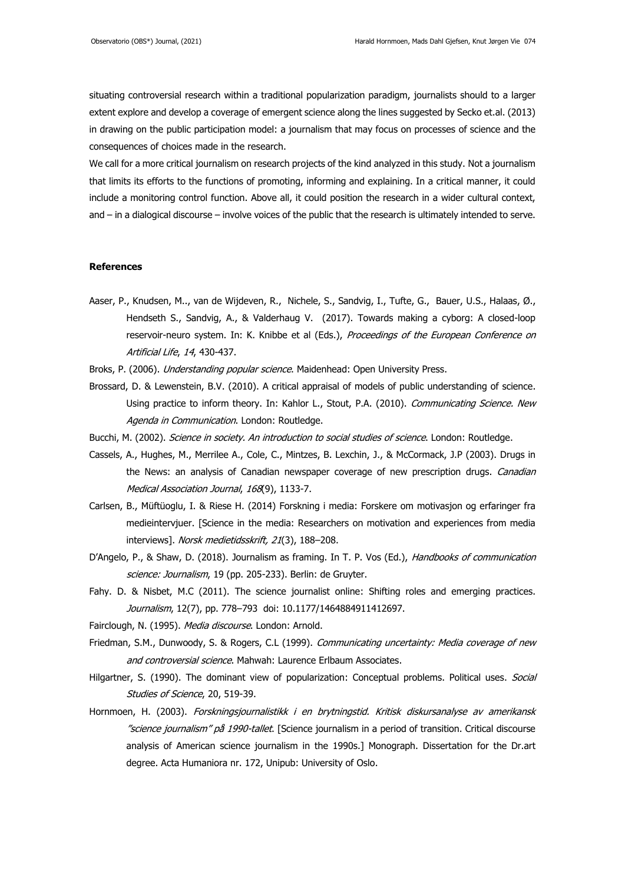situating controversial research within a traditional popularization paradigm, journalists should to a larger extent explore and develop a coverage of emergent science along the lines suggested by Secko et.al. (2013) in drawing on the public participation model: a journalism that may focus on processes of science and the consequences of choices made in the research.

We call for a more critical journalism on research projects of the kind analyzed in this study. Not a journalism that limits its efforts to the functions of promoting, informing and explaining. In a critical manner, it could include a monitoring control function. Above all, it could position the research in a wider cultural context, and – in a dialogical discourse – involve voices of the public that the research is ultimately intended to serve.

#### **References**

Aaser, P., [Knudsen,](https://www.mitpressjournals.org/author/Knudsen%2C+Martinius) M.., [van de Wijdeven, R.,](https://www.mitpressjournals.org/author/van+de+Wijdeven%2C+Rosanne) Nichele, S., [Sandvig,](https://www.mitpressjournals.org/author/Sandvig%2C+Ioanna) I., [Tufte,](https://www.mitpressjournals.org/author/Tufte%2C+Gunnar) G., [Bauer,](https://www.mitpressjournals.org/author/Stefan+Bauer%2C+Ulrich) U.S., [Halaas,](https://www.mitpressjournals.org/author/Halaas%2C+%C3%98yvind) Ø., [Hendseth S](https://www.mitpressjournals.org/author/Hendseth%2C+Sverre)., [Sandvig,](https://www.mitpressjournals.org/author/Sandvig%2C+Axel) A., & [Valderhaug](https://www.mitpressjournals.org/author/Valderhaug%2C+Vibeke) V. (2017). Towards making a cyborg: A closed-loop reservoir-neuro system. In: K. Knibbe et al (Eds.), Proceedings of the European Conference on Artificial Life, 14, 430-437.

Broks, P. (2006). Understanding popular science. Maidenhead: Open University Press.

- Brossard, D. & Lewenstein, B.V. (2010). A critical appraisal of models of public understanding of science. Using practice to inform theory. In: Kahlor L., Stout, P.A. (2010). Communicating Science. New Agenda in Communication. London: Routledge.
- Bucchi, M. (2002). Science in society. An introduction to social studies of science. London: Routledge.
- Cassels, A., Hughes, M., Merrilee A., Cole, C., Mintzes, B. Lexchin, J., & McCormack, J.P (2003). Drugs in the News: an analysis of Canadian newspaper coverage of new prescription drugs. *Canadian* Medical Association Journal, 168(9), 1133-7.
- Carlsen, B., Müftüoglu, I. & Riese H. (2014) Forskning i media: Forskere om motivasjon og erfaringer fra medieintervjuer. [Science in the media: Researchers on motivation and experiences from media interviews]. Norsk medietidsskrift, 21(3), 188-208.
- D'Angelo, P., & Shaw, D. (2018). Journalism as framing. In T. P. Vos (Ed.), Handbooks of communication science: Journalism, 19 (pp. 205-233). Berlin: de Gruyter.
- Fahy. D. & Nisbet, M.C (2011). The science journalist online: Shifting roles and emerging practices. Journalism, 12(7), pp. 778-793 [doi: 10.1177/1464884911412697.](https://doi.org/10.1177%2F1464884911412697)
- Fairclough, N. (1995). Media discourse. London: Arnold.
- Friedman, S.M., Dunwoody, S. & Rogers, C.L (1999). Communicating uncertainty: Media coverage of new and controversial science. Mahwah: Laurence Erlbaum Associates.
- Hilgartner, S. (1990). The dominant view of popularization: Conceptual problems. Political uses. Social Studies of Science, 20, 519-39.
- Hornmoen, H. (2003). Forskningsjournalistikk i en brytningstid. Kritisk diskursanalyse av amerikansk "science journalism" på 1990-tallet. [Science journalism in a period of transition. Critical discourse analysis of American science journalism in the 1990s.] Monograph. Dissertation for the Dr.art degree. Acta Humaniora nr. 172, Unipub: University of Oslo.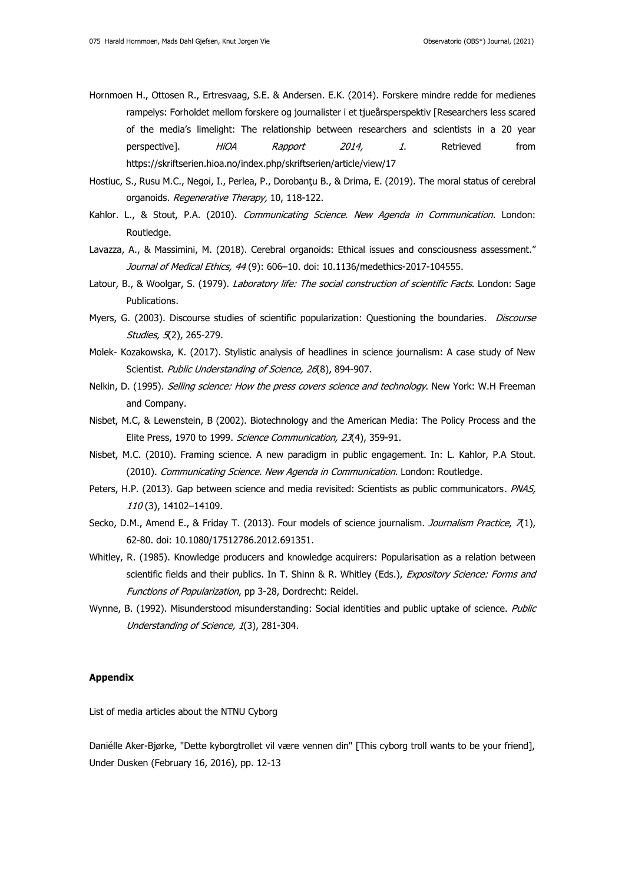- Hornmoen H., Ottosen R., Ertresvaag, S.E. & Andersen. E.K. (2014). Forskere mindre redde for medienes rampelys: Forholdet mellom forskere og journalister i et tjueårsperspektiv [Researchers less scared of the media's limelight: The relationship between researchers and scientists in a 20 year perspective]. *HiOA Rapport 2014, 1*. Retrieved from <https://skriftserien.hioa.no/index.php/skriftserien/article/view/17>
- Hostiuc, S., Rusu M.C., Negoi, I., Perlea, P., Dorobanţu B., & Drima, E. (2019). The moral status of cerebral organoids. Regenerative Therapy, 10, 118-122.
- Kahlor. L., & Stout, P.A. (2010). Communicating Science. New Agenda in Communication. London: Routledge.
- Lavazza, A., & Massimini, M. (2018). Cerebral organoids: Ethical issues and consciousness assessment." Journal of Medical Ethics, 44 (9): 606-10. doi: 10.1136/medethics-2017-104555.
- Latour, B., & Woolgar, S. (1979). Laboratory life: The social construction of scientific Facts. London: Sage Publications.
- Myers, G. (2003). Discourse studies of scientific popularization: Questioning the boundaries. *Discourse* Studies, 5(2), 265-279.
- Molek- Kozakowska, K. (2017). Stylistic analysis of headlines in science journalism: A case study of New Scientist. Public Understanding of Science, 26(8), 894-907.
- Nelkin, D. (1995). Selling science: How the press covers science and technology. New York: W.H Freeman and Company.
- Nisbet, M.C, & Lewenstein, B (2002). Biotechnology and the American Media: The Policy Process and the Elite Press, 1970 to 1999. Science Communication, 23(4), 359-91.
- Nisbet, M.C. (2010). Framing science. A new paradigm in public engagement. In: L. Kahlor, P.A Stout. (2010). Communicating Science. New Agenda in Communication. London: Routledge.
- Peters, H.P. (2013). Gap between science and media revisited: Scientists as public communicators. PNAS, 110 (3), 14102–14109.
- Secko, D.M., Amend E., & Friday T. (2013). Four models of science journalism. *Journalism Practice*, 71), 62-80. doi: 10.1080/17512786.2012.691351.
- Whitley, R. (1985). Knowledge producers and knowledge acquirers: Popularisation as a relation between scientific fields and their publics. In T. Shinn & R. Whitley (Eds.), Expository Science: Forms and Functions of Popularization, pp 3-28, Dordrecht: Reidel.
- Wynne, B. (1992). Misunderstood misunderstanding: Social identities and public uptake of science. Public [Understanding of Science,](https://www.researchgate.net/journal/0963-6625_Public_Understanding_of_Science) 1(3), 281-304.

## **Appendix**

List of media articles about the NTNU Cyborg

Daniélle Aker-Bjørke, "Dette kyborgtrollet vil være vennen din" [This cyborg troll wants to be your friend], Under Dusken (February 16, 2016), pp. 12-13